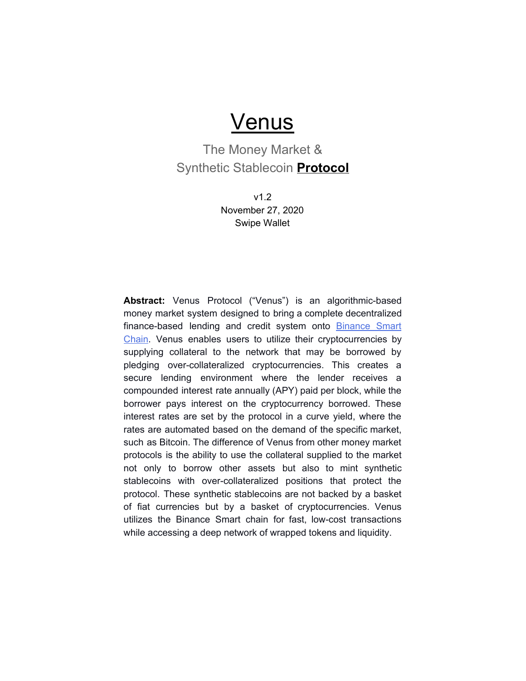# **Venus**

### The Money Market & Synthetic Stablecoin **Protocol**

v1.2 November 27, 2020 Swipe Wallet

**Abstract:** Venus Protocol ("Venus") is an algorithmic-based money market system designed to bring a complete decentralized finance-based lending and credit system onto **[Binance](https://www.binance.org/en/smartChain) Smart** [Chain](https://www.binance.org/en/smartChain). Venus enables users to utilize their cryptocurrencies by supplying collateral to the network that may be borrowed by pledging over-collateralized cryptocurrencies. This creates a secure lending environment where the lender receives a compounded interest rate annually (APY) paid per block, while the borrower pays interest on the cryptocurrency borrowed. These interest rates are set by the protocol in a curve yield, where the rates are automated based on the demand of the specific market, such as Bitcoin. The difference of Venus from other money market protocols is the ability to use the collateral supplied to the market not only to borrow other assets but also to mint synthetic stablecoins with over-collateralized positions that protect the protocol. These synthetic stablecoins are not backed by a basket of fiat currencies but by a basket of cryptocurrencies. Venus utilizes the Binance Smart chain for fast, low-cost transactions while accessing a deep network of wrapped tokens and liquidity.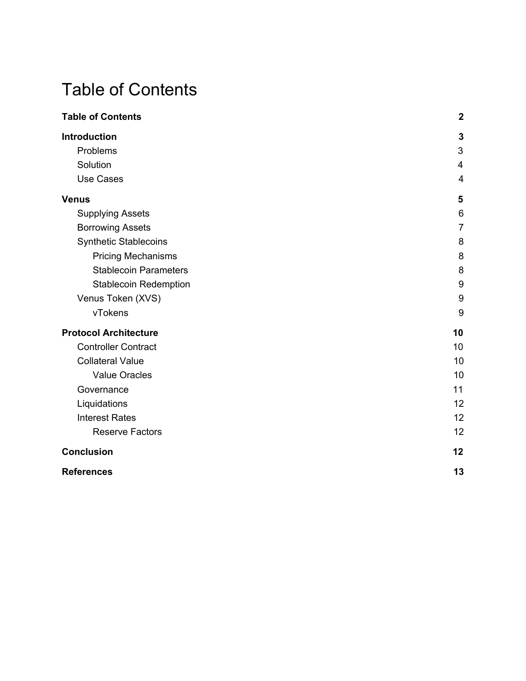# <span id="page-1-0"></span>Table of Contents

| <b>Table of Contents</b>     | $\mathbf{2}$     |
|------------------------------|------------------|
| <b>Introduction</b>          | $\mathbf{3}$     |
| Problems                     | 3                |
| Solution                     | 4                |
| <b>Use Cases</b>             | $\overline{4}$   |
| <b>Venus</b>                 | 5                |
| <b>Supplying Assets</b>      | 6                |
| <b>Borrowing Assets</b>      | $\overline{7}$   |
| <b>Synthetic Stablecoins</b> | 8                |
| <b>Pricing Mechanisms</b>    | 8                |
| <b>Stablecoin Parameters</b> | 8                |
| <b>Stablecoin Redemption</b> | $\boldsymbol{9}$ |
| Venus Token (XVS)            | 9                |
| vTokens                      | 9                |
| <b>Protocol Architecture</b> | 10               |
| <b>Controller Contract</b>   | 10               |
| <b>Collateral Value</b>      | 10               |
| <b>Value Oracles</b>         | 10               |
| Governance                   | 11               |
| Liquidations                 | 12               |
| <b>Interest Rates</b>        | 12               |
| <b>Reserve Factors</b>       | 12               |
| <b>Conclusion</b>            | 12               |
| <b>References</b>            | 13               |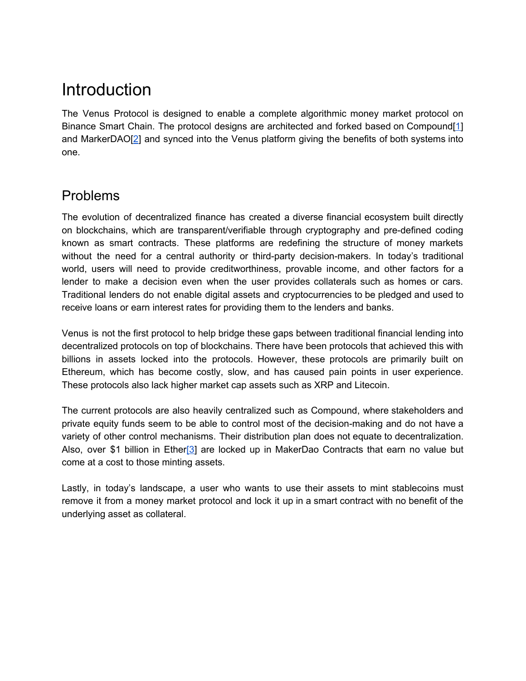# <span id="page-2-0"></span>Introduction

The Venus Protocol is designed to enable a complete algorithmic money market protocol on Binance Smart Chain. The protocol designs are architected and forked based on Compound[\[1](#page-12-0)] and MarkerDAO[\[2](#page-12-0)] and synced into the Venus platform giving the benefits of both systems into one.

## <span id="page-2-1"></span>Problems

The evolution of decentralized finance has created a diverse financial ecosystem built directly on blockchains, which are transparent/verifiable through cryptography and pre-defined coding known as smart contracts. These platforms are redefining the structure of money markets without the need for a central authority or third-party decision-makers. In today's traditional world, users will need to provide creditworthiness, provable income, and other factors for a lender to make a decision even when the user provides collaterals such as homes or cars. Traditional lenders do not enable digital assets and cryptocurrencies to be pledged and used to receive loans or earn interest rates for providing them to the lenders and banks.

Venus is not the first protocol to help bridge these gaps between traditional financial lending into decentralized protocols on top of blockchains. There have been protocols that achieved this with billions in assets locked into the protocols. However, these protocols are primarily built on Ethereum, which has become costly, slow, and has caused pain points in user experience. These protocols also lack higher market cap assets such as XRP and Litecoin.

The current protocols are also heavily centralized such as Compound, where stakeholders and private equity funds seem to be able to control most of the decision-making and do not have a variety of other control mechanisms. Their distribution plan does not equate to decentralization. Also, over \$1 billion in Ether<sup>[\[3](#page-12-0)]</sup> are locked up in MakerDao Contracts that earn no value but come at a cost to those minting assets.

Lastly, in today's landscape, a user who wants to use their assets to mint stablecoins must remove it from a money market protocol and lock it up in a smart contract with no benefit of the underlying asset as collateral.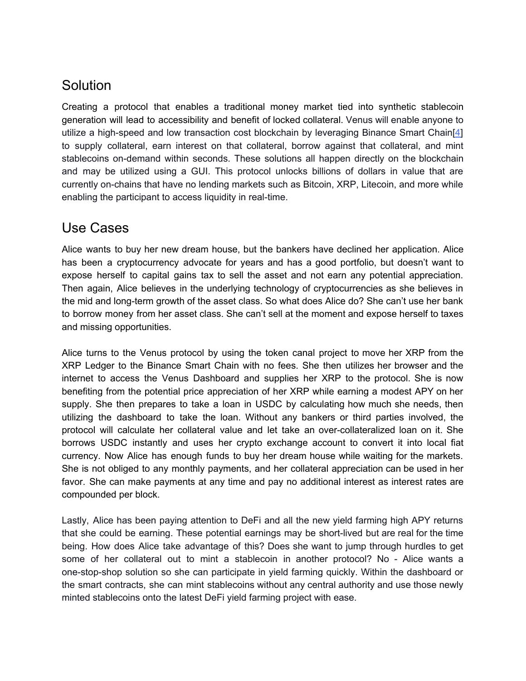## <span id="page-3-0"></span>Solution

Creating a protocol that enables a traditional money market tied into synthetic stablecoin generation will lead to accessibility and benefit of locked collateral. Venus will enable anyone to utilize a high-speed and low transaction cost blockchain by leveraging Binance Smart Chain[\[4](https://docs.google.com/document/d/1TpbAsxSA8oR1hZueDvbKmSWoDzV5URdQjU1kWCMRtL0/edit#heading=h.4kskmh4opboq)] to supply collateral, earn interest on that collateral, borrow against that collateral, and mint stablecoins on-demand within seconds. These solutions all happen directly on the blockchain and may be utilized using a GUI. This protocol unlocks billions of dollars in value that are currently on-chains that have no lending markets such as Bitcoin, XRP, Litecoin, and more while enabling the participant to access liquidity in real-time.

### <span id="page-3-1"></span>Use Cases

Alice wants to buy her new dream house, but the bankers have declined her application. Alice has been a cryptocurrency advocate for years and has a good portfolio, but doesn't want to expose herself to capital gains tax to sell the asset and not earn any potential appreciation. Then again, Alice believes in the underlying technology of cryptocurrencies as she believes in the mid and long-term growth of the asset class. So what does Alice do? She can't use her bank to borrow money from her asset class. She can't sell at the moment and expose herself to taxes and missing opportunities.

Alice turns to the Venus protocol by using the token canal project to move her XRP from the XRP Ledger to the Binance Smart Chain with no fees. She then utilizes her browser and the internet to access the Venus Dashboard and supplies her XRP to the protocol. She is now benefiting from the potential price appreciation of her XRP while earning a modest APY on her supply. She then prepares to take a loan in USDC by calculating how much she needs, then utilizing the dashboard to take the loan. Without any bankers or third parties involved, the protocol will calculate her collateral value and let take an over-collateralized loan on it. She borrows USDC instantly and uses her crypto exchange account to convert it into local fiat currency. Now Alice has enough funds to buy her dream house while waiting for the markets. She is not obliged to any monthly payments, and her collateral appreciation can be used in her favor. She can make payments at any time and pay no additional interest as interest rates are compounded per block.

Lastly, Alice has been paying attention to DeFi and all the new yield farming high APY returns that she could be earning. These potential earnings may be short-lived but are real for the time being. How does Alice take advantage of this? Does she want to jump through hurdles to get some of her collateral out to mint a stablecoin in another protocol? No - Alice wants a one-stop-shop solution so she can participate in yield farming quickly. Within the dashboard or the smart contracts, she can mint stablecoins without any central authority and use those newly minted stablecoins onto the latest DeFi yield farming project with ease.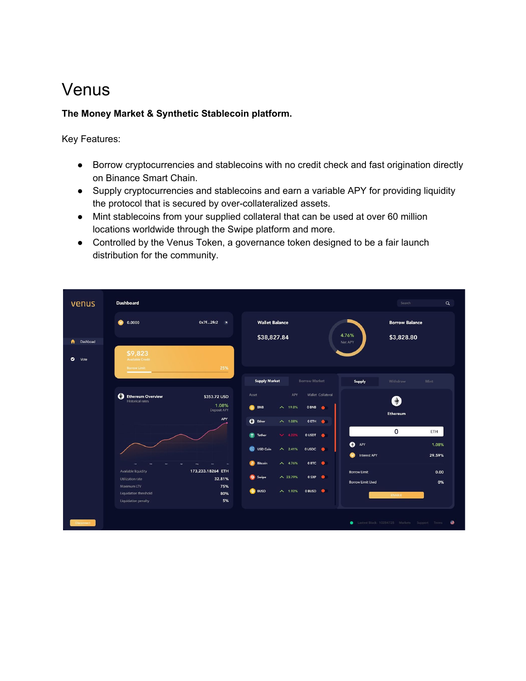# <span id="page-4-0"></span>Venus

#### **The Money Market & Synthetic Stablecoin platform.**

Key Features:

- Borrow cryptocurrencies and stablecoins with no credit check and fast origination directly on Binance Smart Chain.
- Supply cryptocurrencies and stablecoins and earn a variable APY for providing liquidity the protocol that is secured by over-collateralized assets.
- Mint stablecoins from your supplied collateral that can be used at over 60 million locations worldwide through the Swipe platform and more.
- Controlled by the Venus Token, a governance token designed to be a fair launch distribution for the community.

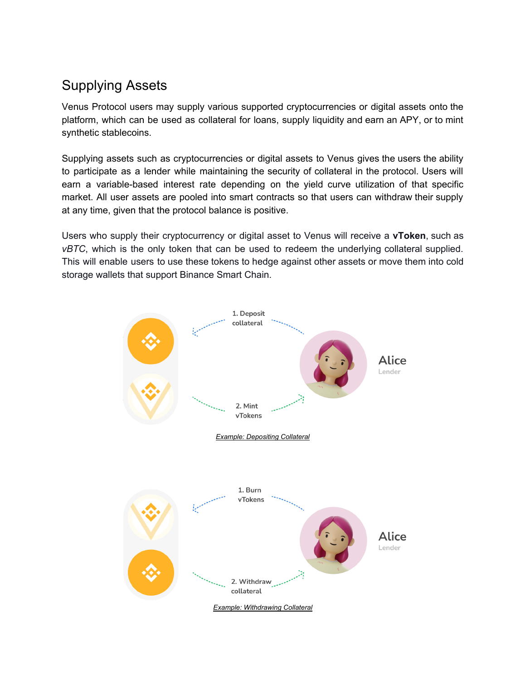## <span id="page-5-0"></span>Supplying Assets

Venus Protocol users may supply various supported cryptocurrencies or digital assets onto the platform, which can be used as collateral for loans, supply liquidity and earn an APY, or to mint synthetic stablecoins.

Supplying assets such as cryptocurrencies or digital assets to Venus gives the users the ability to participate as a lender while maintaining the security of collateral in the protocol. Users will earn a variable-based interest rate depending on the yield curve utilization of that specific market. All user assets are pooled into smart contracts so that users can withdraw their supply at any time, given that the protocol balance is positive.

Users who supply their cryptocurrency or digital asset to Venus will receive a **vToken**, such as *vBTC*, which is the only token that can be used to redeem the underlying collateral supplied. This will enable users to use these tokens to hedge against other assets or move them into cold storage wallets that support Binance Smart Chain.

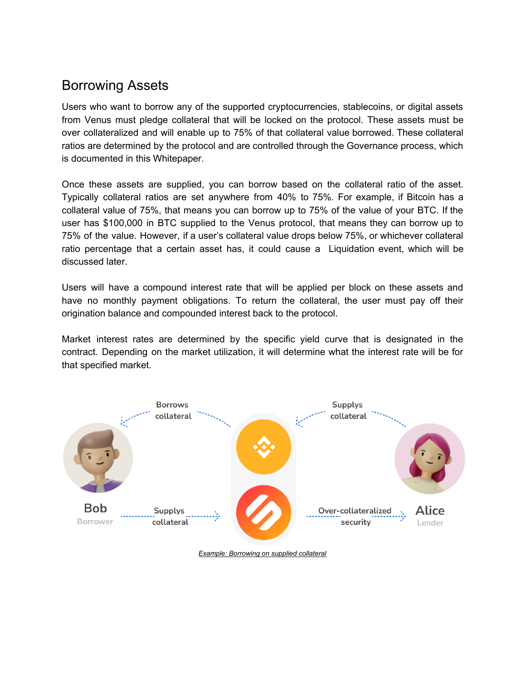## <span id="page-6-0"></span>Borrowing Assets

Users who want to borrow any of the supported cryptocurrencies, stablecoins, or digital assets from Venus must pledge collateral that will be locked on the protocol. These assets must be over collateralized and will enable up to 75% of that collateral value borrowed. These collateral ratios are determined by the protocol and are controlled through the Governance process, which is documented in this Whitepaper.

Once these assets are supplied, you can borrow based on the collateral ratio of the asset. Typically collateral ratios are set anywhere from 40% to 75%. For example, if Bitcoin has a collateral value of 75%, that means you can borrow up to 75% of the value of your BTC. If the user has \$100,000 in BTC supplied to the Venus protocol, that means they can borrow up to 75% of the value. However, if a user's collateral value drops below 75%, or whichever collateral ratio percentage that a certain asset has, it could cause a Liquidation event, which will be discussed later.

Users will have a compound interest rate that will be applied per block on these assets and have no monthly payment obligations. To return the collateral, the user must pay off their origination balance and compounded interest back to the protocol.

Market interest rates are determined by the specific yield curve that is designated in the contract. Depending on the market utilization, it will determine what the interest rate will be for that specified market.



*Example: Borrowing on supplied collateral*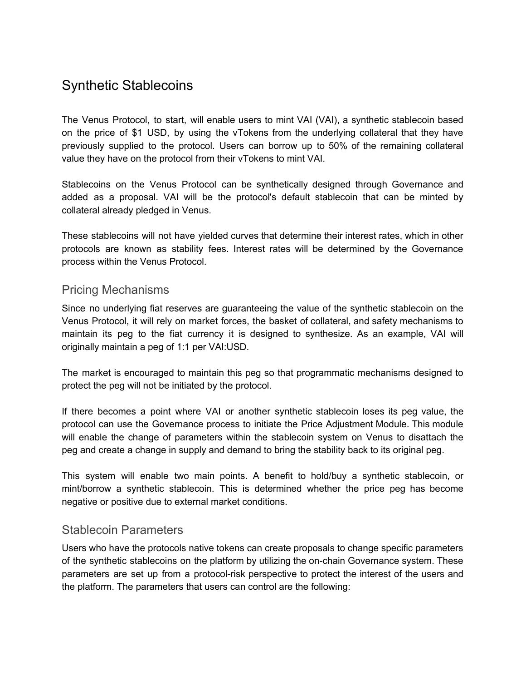## <span id="page-7-0"></span>Synthetic Stablecoins

The Venus Protocol, to start, will enable users to mint VAI (VAI), a synthetic stablecoin based on the price of \$1 USD, by using the vTokens from the underlying collateral that they have previously supplied to the protocol. Users can borrow up to 50% of the remaining collateral value they have on the protocol from their vTokens to mint VAI.

Stablecoins on the Venus Protocol can be synthetically designed through Governance and added as a proposal. VAI will be the protocol's default stablecoin that can be minted by collateral already pledged in Venus.

These stablecoins will not have yielded curves that determine their interest rates, which in other protocols are known as stability fees. Interest rates will be determined by the Governance process within the Venus Protocol.

### <span id="page-7-1"></span>Pricing Mechanisms

Since no underlying fiat reserves are guaranteeing the value of the synthetic stablecoin on the Venus Protocol, it will rely on market forces, the basket of collateral, and safety mechanisms to maintain its peg to the fiat currency it is designed to synthesize. As an example, VAI will originally maintain a peg of 1:1 per VAI:USD.

The market is encouraged to maintain this peg so that programmatic mechanisms designed to protect the peg will not be initiated by the protocol.

If there becomes a point where VAI or another synthetic stablecoin loses its peg value, the protocol can use the Governance process to initiate the Price Adjustment Module. This module will enable the change of parameters within the stablecoin system on Venus to disattach the peg and create a change in supply and demand to bring the stability back to its original peg.

This system will enable two main points. A benefit to hold/buy a synthetic stablecoin, or mint/borrow a synthetic stablecoin. This is determined whether the price peg has become negative or positive due to external market conditions.

### <span id="page-7-2"></span>Stablecoin Parameters

Users who have the protocols native tokens can create proposals to change specific parameters of the synthetic stablecoins on the platform by utilizing the on-chain Governance system. These parameters are set up from a protocol-risk perspective to protect the interest of the users and the platform. The parameters that users can control are the following: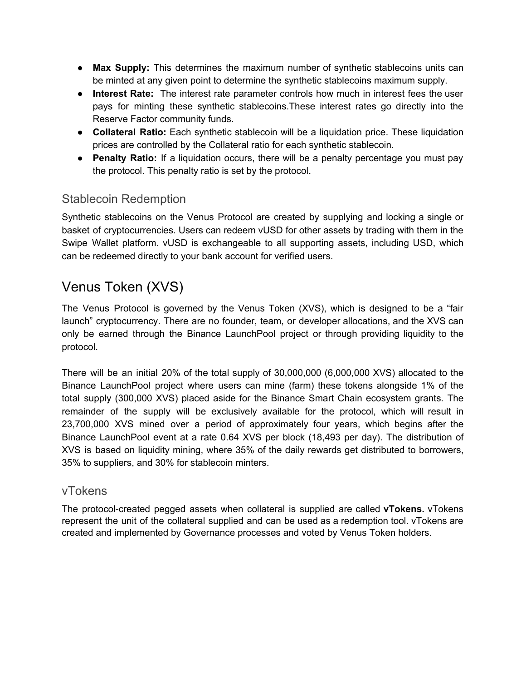- **● Max Supply:** This determines the maximum number of synthetic stablecoins units can be minted at any given point to determine the synthetic stablecoins maximum supply.
- **● Interest Rate:** The interest rate parameter controls how much in interest fees the user pays for minting these synthetic stablecoins.These interest rates go directly into the Reserve Factor community funds.
- **● Collateral Ratio:** Each synthetic stablecoin will be a liquidation price. These liquidation prices are controlled by the Collateral ratio for each synthetic stablecoin.
- **● Penalty Ratio:** If a liquidation occurs, there will be a penalty percentage you must pay the protocol. This penalty ratio is set by the protocol.

### <span id="page-8-0"></span>Stablecoin Redemption

Synthetic stablecoins on the Venus Protocol are created by supplying and locking a single or basket of cryptocurrencies. Users can redeem vUSD for other assets by trading with them in the Swipe Wallet platform. vUSD is exchangeable to all supporting assets, including USD, which can be redeemed directly to your bank account for verified users.

## <span id="page-8-1"></span>Venus Token (XVS)

The Venus Protocol is governed by the Venus Token (XVS), which is designed to be a "fair launch" cryptocurrency. There are no founder, team, or developer allocations, and the XVS can only be earned through the Binance LaunchPool project or through providing liquidity to the protocol.

There will be an initial 20% of the total supply of 30,000,000 (6,000,000 XVS) allocated to the Binance LaunchPool project where users can mine (farm) these tokens alongside 1% of the total supply (300,000 XVS) placed aside for the Binance Smart Chain ecosystem grants. The remainder of the supply will be exclusively available for the protocol, which will result in 23,700,000 XVS mined over a period of approximately four years, which begins after the Binance LaunchPool event at a rate 0.64 XVS per block (18,493 per day). The distribution of XVS is based on liquidity mining, where 35% of the daily rewards get distributed to borrowers, 35% to suppliers, and 30% for stablecoin minters.

### <span id="page-8-2"></span>vTokens

The protocol-created pegged assets when collateral is supplied are called **vTokens.** vTokens represent the unit of the collateral supplied and can be used as a redemption tool. vTokens are created and implemented by Governance processes and voted by Venus Token holders.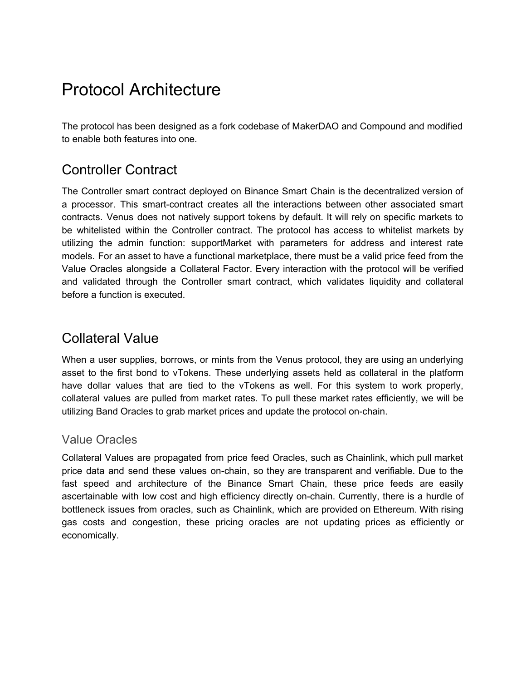# Protocol Architecture

The protocol has been designed as a fork codebase of MakerDAO and Compound and modified to enable both features into one.

## <span id="page-9-0"></span>Controller Contract

The Controller smart contract deployed on Binance Smart Chain is the decentralized version of a processor. This smart-contract creates all the interactions between other associated smart contracts. Venus does not natively support tokens by default. It will rely on specific markets to be whitelisted within the Controller contract. The protocol has access to whitelist markets by utilizing the admin function: supportMarket with parameters for address and interest rate models. For an asset to have a functional marketplace, there must be a valid price feed from the Value Oracles alongside a Collateral Factor. Every interaction with the protocol will be verified and validated through the Controller smart contract, which validates liquidity and collateral before a function is executed.

## <span id="page-9-1"></span>Collateral Value

When a user supplies, borrows, or mints from the Venus protocol, they are using an underlying asset to the first bond to vTokens. These underlying assets held as collateral in the platform have dollar values that are tied to the vTokens as well. For this system to work properly, collateral values are pulled from market rates. To pull these market rates efficiently, we will be utilizing Band Oracles to grab market prices and update the protocol on-chain.

### <span id="page-9-2"></span>Value Oracles

Collateral Values are propagated from price feed Oracles, such as Chainlink, which pull market price data and send these values on-chain, so they are transparent and verifiable. Due to the fast speed and architecture of the Binance Smart Chain, these price feeds are easily ascertainable with low cost and high efficiency directly on-chain. Currently, there is a hurdle of bottleneck issues from oracles, such as Chainlink, which are provided on Ethereum. With rising gas costs and congestion, these pricing oracles are not updating prices as efficiently or economically.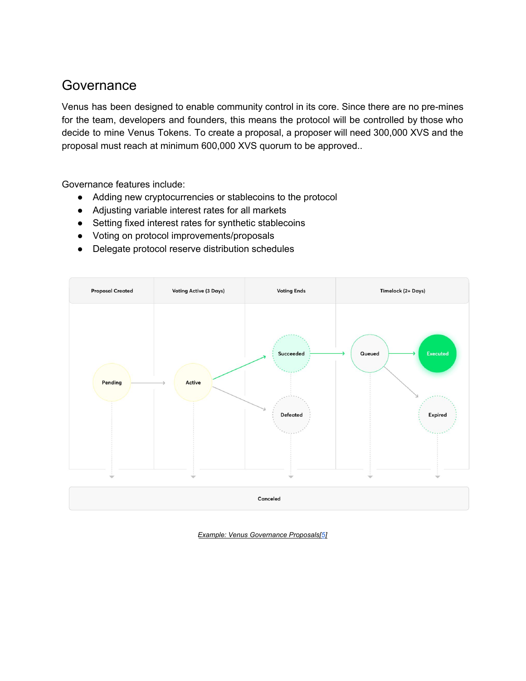## <span id="page-10-0"></span>Governance

Venus has been designed to enable community control in its core. Since there are no pre-mines for the team, developers and founders, this means the protocol will be controlled by those who decide to mine Venus Tokens. To create a proposal, a proposer will need 300,000 XVS and the proposal must reach at minimum 600,000 XVS quorum to be approved..

Governance features include:

- Adding new cryptocurrencies or stablecoins to the protocol
- Adjusting variable interest rates for all markets
- Setting fixed interest rates for synthetic stablecoins
- Voting on protocol improvements/proposals
- Delegate protocol reserve distribution schedules



*Example: Venus Governance Proposals[\[5\]](#page-12-0)*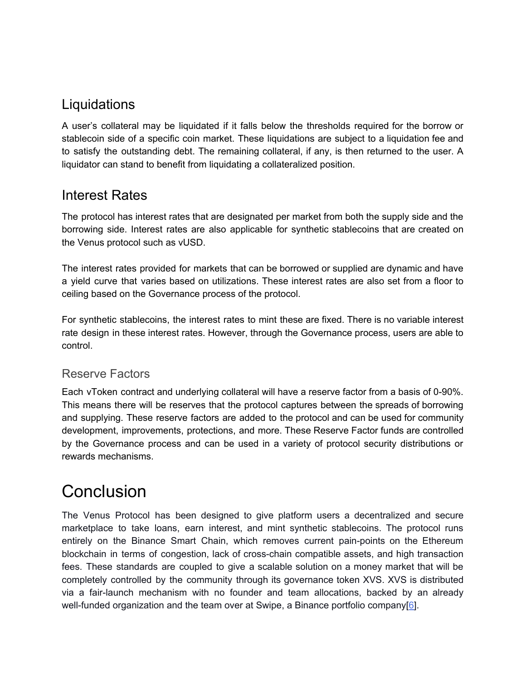## **Liquidations**

A user's collateral may be liquidated if it falls below the thresholds required for the borrow or stablecoin side of a specific coin market. These liquidations are subject to a liquidation fee and to satisfy the outstanding debt. The remaining collateral, if any, is then returned to the user. A liquidator can stand to benefit from liquidating a collateralized position.

## <span id="page-11-0"></span>Interest Rates

The protocol has interest rates that are designated per market from both the supply side and the borrowing side. Interest rates are also applicable for synthetic stablecoins that are created on the Venus protocol such as vUSD.

The interest rates provided for markets that can be borrowed or supplied are dynamic and have a yield curve that varies based on utilizations. These interest rates are also set from a floor to ceiling based on the Governance process of the protocol.

For synthetic stablecoins, the interest rates to mint these are fixed. There is no variable interest rate design in these interest rates. However, through the Governance process, users are able to control.

### <span id="page-11-1"></span>Reserve Factors

Each vToken contract and underlying collateral will have a reserve factor from a basis of 0-90%. This means there will be reserves that the protocol captures between the spreads of borrowing and supplying. These reserve factors are added to the protocol and can be used for community development, improvements, protections, and more. These Reserve Factor funds are controlled by the Governance process and can be used in a variety of protocol security distributions or rewards mechanisms.

# <span id="page-11-2"></span>**Conclusion**

The Venus Protocol has been designed to give platform users a decentralized and secure marketplace to take loans, earn interest, and mint synthetic stablecoins. The protocol runs entirely on the Binance Smart Chain, which removes current pain-points on the Ethereum blockchain in terms of congestion, lack of cross-chain compatible assets, and high transaction fees. These standards are coupled to give a scalable solution on a money market that will be completely controlled by the community through its governance token XVS. XVS is distributed via a fair-launch mechanism with no founder and team allocations, backed by an already well-funded organization and the team over at Swipe, a Binance portfolio company[[6](https://docs.google.com/document/d/1TpbAsxSA8oR1hZueDvbKmSWoDzV5URdQjU1kWCMRtL0/edit#heading=h.4kskmh4opboq)].